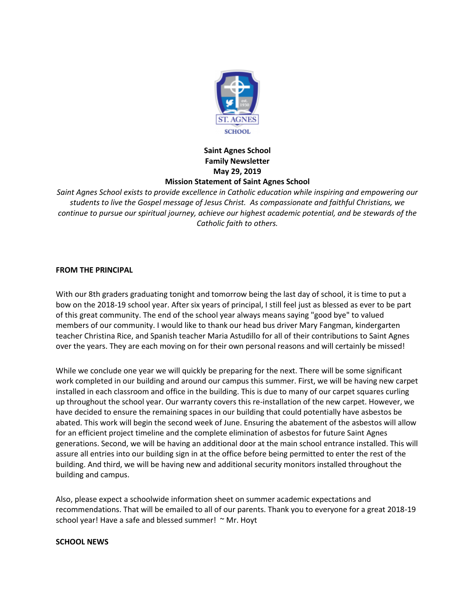

# **Saint Agnes School Family Newsletter May 29, 2019 Mission Statement of Saint Agnes School**

*Saint Agnes School exists to provide excellence in Catholic education while inspiring and empowering our students to live the Gospel message of Jesus Christ. As compassionate and faithful Christians, we continue to pursue our spiritual journey, achieve our highest academic potential, and be stewards of the Catholic faith to others.*

## **FROM THE PRINCIPAL**

With our 8th graders graduating tonight and tomorrow being the last day of school, it is time to put a bow on the 2018-19 school year. After six years of principal, I still feel just as blessed as ever to be part of this great community. The end of the school year always means saying "good bye" to valued members of our community. I would like to thank our head bus driver Mary Fangman, kindergarten teacher Christina Rice, and Spanish teacher Maria Astudillo for all of their contributions to Saint Agnes over the years. They are each moving on for their own personal reasons and will certainly be missed!

While we conclude one year we will quickly be preparing for the next. There will be some significant work completed in our building and around our campus this summer. First, we will be having new carpet installed in each classroom and office in the building. This is due to many of our carpet squares curling up throughout the school year. Our warranty covers this re-installation of the new carpet. However, we have decided to ensure the remaining spaces in our building that could potentially have asbestos be abated. This work will begin the second week of June. Ensuring the abatement of the asbestos will allow for an efficient project timeline and the complete elimination of asbestos for future Saint Agnes generations. Second, we will be having an additional door at the main school entrance installed. This will assure all entries into our building sign in at the office before being permitted to enter the rest of the building. And third, we will be having new and additional security monitors installed throughout the building and campus.

Also, please expect a schoolwide information sheet on summer academic expectations and recommendations. That will be emailed to all of our parents. Thank you to everyone for a great 2018-19 school year! Have a safe and blessed summer! ~ Mr. Hoyt

### **SCHOOL NEWS**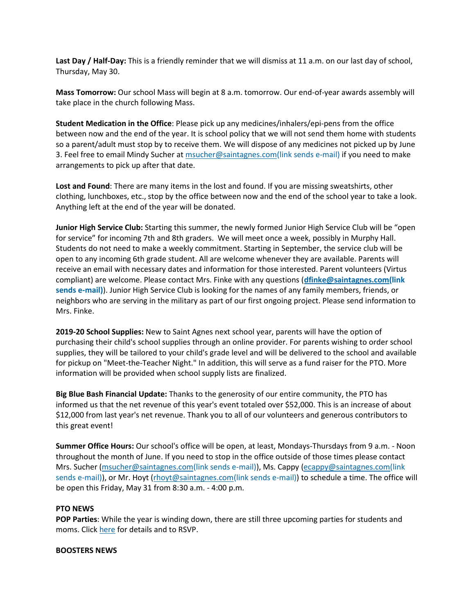**Last Day / Half-Day:** This is a friendly reminder that we will dismiss at 11 a.m. on our last day of school, Thursday, May 30.

**Mass Tomorrow:** Our school Mass will begin at 8 a.m. tomorrow. Our end-of-year awards assembly will take place in the church following Mass.

**Student Medication in the Office**: Please pick up any medicines/inhalers/epi-pens from the office between now and the end of the year. It is school policy that we will not send them home with students so a parent/adult must stop by to receive them. We will dispose of any medicines not picked up by June 3. Feel free to email Mindy Sucher at [msucher@saintagnes.com\(link](mailto:msucher@saintagnes.com) sends e-mail) if you need to make arrangements to pick up after that date.

**Lost and Found**: There are many items in the lost and found. If you are missing sweatshirts, other clothing, lunchboxes, etc., stop by the office between now and the end of the school year to take a look. Anything left at the end of the year will be donated.

**Junior High Service Club:** Starting this summer, the newly formed Junior High Service Club will be "open for service" for incoming 7th and 8th graders. We will meet once a week, possibly in Murphy Hall. Students do not need to make a weekly commitment. Starting in September, the service club will be open to any incoming 6th grade student. All are welcome whenever they are available. Parents will receive an email with necessary dates and information for those interested. Parent volunteers (Virtus compliant) are welcome. Please contact Mrs. Finke with any questions (**[dfinke@saintagnes.com\(link](mailto:dfinke@saintagnes.com) sends [e-mail\)](mailto:dfinke@saintagnes.com)**). Junior High Service Club is looking for the names of any family members, friends, or neighbors who are serving in the military as part of our first ongoing project. Please send information to Mrs. Finke.

**2019-20 School Supplies:** New to Saint Agnes next school year, parents will have the option of purchasing their child's school supplies through an online provider. For parents wishing to order school supplies, they will be tailored to your child's grade level and will be delivered to the school and available for pickup on "Meet-the-Teacher Night." In addition, this will serve as a fund raiser for the PTO. More information will be provided when school supply lists are finalized.

**Big Blue Bash Financial Update:** Thanks to the generosity of our entire community, the PTO has informed us that the net revenue of this year's event totaled over \$52,000. This is an increase of about \$12,000 from last year's net revenue. Thank you to all of our volunteers and generous contributors to this great event!

**Summer Office Hours:** Our school's office will be open, at least, Mondays-Thursdays from 9 a.m. - Noon throughout the month of June. If you need to stop in the office outside of those times please contact Mrs. Sucher [\(msucher@saintagnes.com\(link](mailto:msucher@saintagnes.com) sends e-mail)), Ms. Cappy [\(ecappy@saintagnes.com\(link](mailto:ecappy@saintagnes.com) sends [e-mail\)\)](mailto:ecappy@saintagnes.com), or Mr. Hoyt [\(rhoyt@saintagnes.com\(link](mailto:rhoyt@saintagnes.com) sends e-mail)) to schedule a time. The office will be open this Friday, May 31 from 8:30 a.m. - 4:00 p.m.

### **PTO NEWS**

**POP Parties**: While the year is winding down, there are still three upcoming parties for students and moms. Click [here](http://school.saintagnes.com/sites/saintagnes.com/files/newsletter-files/May%202019/pop_parties_2019_-end_of_year_update.pdf?649) for details and to RSVP.

#### **BOOSTERS NEWS**